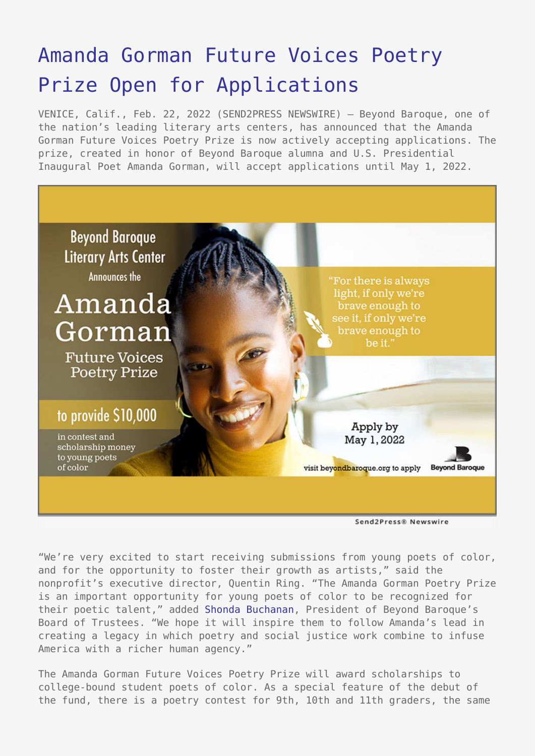## [Amanda Gorman Future Voices Poetry](https://www.send2press.com/wire/amanda-gorman-future-voices-poetry-prize-open-for-applications/) [Prize Open for Applications](https://www.send2press.com/wire/amanda-gorman-future-voices-poetry-prize-open-for-applications/)

VENICE, Calif., Feb. 22, 2022 (SEND2PRESS NEWSWIRE) — Beyond Baroque, one of the nation's leading literary arts centers, has announced that the Amanda Gorman Future Voices Poetry Prize is now actively accepting applications. The prize, created in honor of Beyond Baroque alumna and U.S. Presidential Inaugural Poet Amanda Gorman, will accept applications until May 1, 2022.



Send2Press® Newswire

"We're very excited to start receiving submissions from young poets of color, and for the opportunity to foster their growth as artists," said the nonprofit's executive director, Quentin Ring. "The Amanda Gorman Poetry Prize is an important opportunity for young poets of color to be recognized for their poetic talent," added [Shonda Buchanan](http://www.beyondbaroque.org/boardpr.html), President of Beyond Baroque's Board of Trustees. "We hope it will inspire them to follow Amanda's lead in creating a legacy in which poetry and social justice work combine to infuse America with a richer human agency."

The Amanda Gorman Future Voices Poetry Prize will award scholarships to college-bound student poets of color. As a special feature of the debut of the fund, there is a poetry contest for 9th, 10th and 11th graders, the same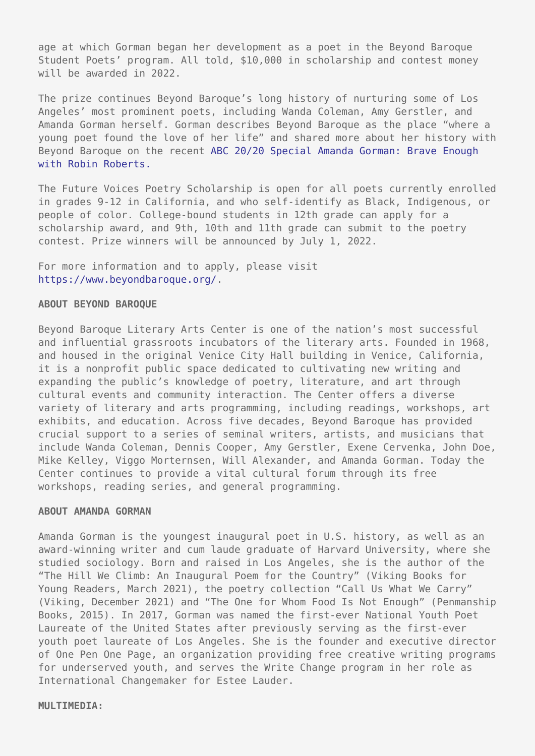age at which Gorman began her development as a poet in the Beyond Baroque Student Poets' program. All told, \$10,000 in scholarship and contest money will be awarded in 2022.

The prize continues Beyond Baroque's long history of nurturing some of Los Angeles' most prominent poets, including Wanda Coleman, Amy Gerstler, and Amanda Gorman herself. Gorman describes Beyond Baroque as the place "where a young poet found the love of her life" and shared more about her history with Beyond Baroque on the recent [ABC 20/20 Special Amanda Gorman: Brave Enough](https://abc.com/shows/2020/episode-guide/2021-09/15-amanda-gorman-brave-enough-with-robin-roberts-a-special-edition-of-2020) [with Robin Roberts.](https://abc.com/shows/2020/episode-guide/2021-09/15-amanda-gorman-brave-enough-with-robin-roberts-a-special-edition-of-2020)

The Future Voices Poetry Scholarship is open for all poets currently enrolled in grades 9-12 in California, and who self-identify as Black, Indigenous, or people of color. College-bound students in 12th grade can apply for a scholarship award, and 9th, 10th and 11th grade can submit to the poetry contest. Prize winners will be announced by July 1, 2022.

For more information and to apply, please visit <https://www.beyondbaroque.org/>.

## **ABOUT BEYOND BAROQUE**

Beyond Baroque Literary Arts Center is one of the nation's most successful and influential grassroots incubators of the literary arts. Founded in 1968, and housed in the original Venice City Hall building in Venice, California, it is a nonprofit public space dedicated to cultivating new writing and expanding the public's knowledge of poetry, literature, and art through cultural events and community interaction. The Center offers a diverse variety of literary and arts programming, including readings, workshops, art exhibits, and education. Across five decades, Beyond Baroque has provided crucial support to a series of seminal writers, artists, and musicians that include Wanda Coleman, Dennis Cooper, Amy Gerstler, Exene Cervenka, John Doe, Mike Kelley, Viggo Morternsen, Will Alexander, and Amanda Gorman. Today the Center continues to provide a vital cultural forum through its free workshops, reading series, and general programming.

## **ABOUT AMANDA GORMAN**

Amanda Gorman is the youngest inaugural poet in U.S. history, as well as an award-winning writer and cum laude graduate of Harvard University, where she studied sociology. Born and raised in Los Angeles, she is the author of the "The Hill We Climb: An Inaugural Poem for the Country" (Viking Books for Young Readers, March 2021), the poetry collection "Call Us What We Carry" (Viking, December 2021) and "The One for Whom Food Is Not Enough" (Penmanship Books, 2015). In 2017, Gorman was named the first-ever National Youth Poet Laureate of the United States after previously serving as the first-ever youth poet laureate of Los Angeles. She is the founder and executive director of One Pen One Page, an organization providing free creative writing programs for underserved youth, and serves the Write Change program in her role as International Changemaker for Estee Lauder.

**MULTIMEDIA:**